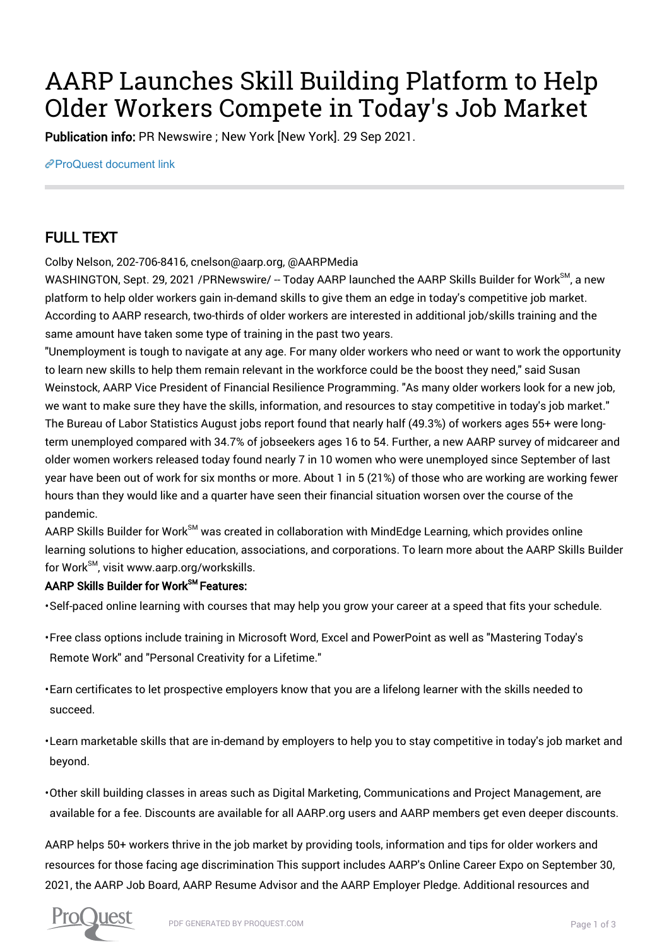# AARP Launches Skill Building Platform to Help Older Workers Compete in Today's Job Market

Publication info: PR Newswire ; New York [New York]. 29 Sep 2021.

[ProQuest document link](https://www.proquest.com/wire-feeds/aarp-launches-skill-building-platform-help-older/docview/2577482641/se-2?accountid=44910)

## FULL TEXT

Colby Nelson, 202-706-8416, cnelson@aarp.org, @AARPMedia

WASHINGTON, Sept. 29, 2021 / PRNewswire/ -- Today AARP launched the AARP Skills Builder for Work<sup>SM</sup>, a new platform to help older workers gain in-demand skills to give them an edge in today's competitive job market. According to AARP research, two-thirds of older workers are interested in additional job/skills training and the same amount have taken some type of training in the past two years.

"Unemployment is tough to navigate at any age. For many older workers who need or want to work the opportunity to learn new skills to help them remain relevant in the workforce could be the boost they need," said Susan Weinstock, AARP Vice President of Financial Resilience Programming. "As many older workers look for a new job, we want to make sure they have the skills, information, and resources to stay competitive in today's job market." The Bureau of Labor Statistics August jobs report found that nearly half (49.3%) of workers ages 55+ were longterm unemployed compared with 34.7% of jobseekers ages 16 to 54. Further, a new AARP survey of midcareer and older women workers released today found nearly 7 in 10 women who were unemployed since September of last year have been out of work for six months or more. About 1 in 5 (21%) of those who are working are working fewer hours than they would like and a quarter have seen their financial situation worsen over the course of the pandemic.

AARP Skills Builder for Work<sup>SM</sup> was created in collaboration with MindEdge Learning, which provides online learning solutions to higher education, associations, and corporations. To learn more about the AARP Skills Builder for Work<sup>SM</sup>, visit www.aarp.org/workskills.

### AARP Skills Builder for Work<sup>SM</sup> Features:

• Self-paced online learning with courses that may help you grow your career at a speed that fits your schedule.

- Free class options include training in Microsoft Word, Excel and PowerPoint as well as "Mastering Today's Remote Work" and "Personal Creativity for a Lifetime."
- Earn certificates to let prospective employers know that you are a lifelong learner with the skills needed to succeed.
- Learn marketable skills that are in-demand by employers to help you to stay competitive in today's job market and beyond.
- Other skill building classes in areas such as Digital Marketing, Communications and Project Management, are available for a fee. Discounts are available for all AARP.org users and AARP members get even deeper discounts.

AARP helps 50+ workers thrive in the job market by providing tools, information and tips for older workers and resources for those facing age discrimination This support includes AARP's Online Career Expo on September 30, 2021, the AARP Job Board, AARP Resume Advisor and the AARP Employer Pledge. Additional resources and

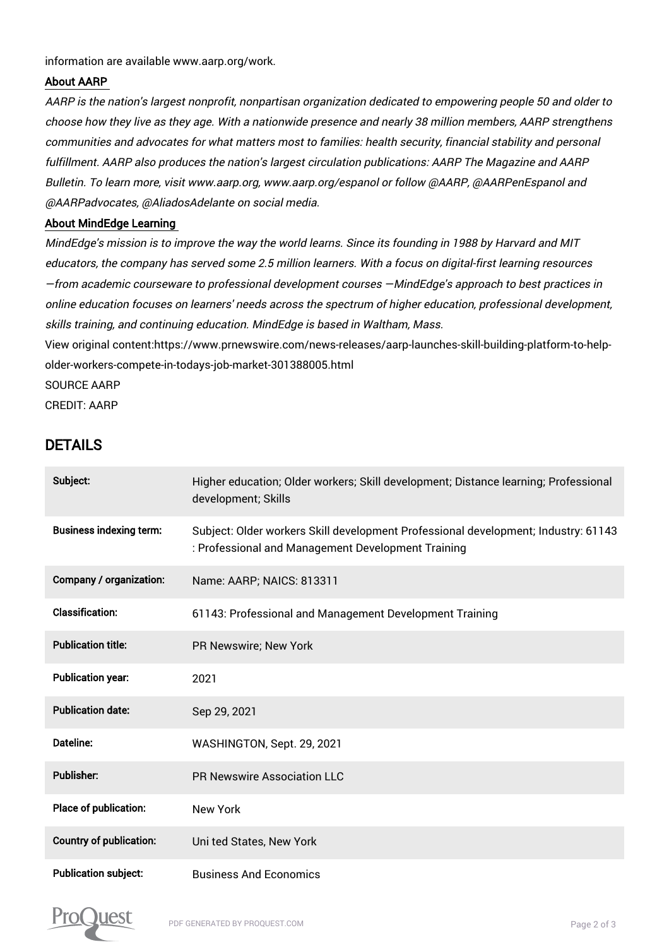information are available www.aarp.org/work.

#### About AARP

AARP is the nation's largest nonprofit, nonpartisan organization dedicated to empowering people 50 and older to choose how they live as they age. With a nationwide presence and nearly 38 million members, AARP strengthens communities and advocates for what matters most to families: health security, financial stability and personal fulfillment. AARP also produces the nation's largest circulation publications: AARP The Magazine and AARP Bulletin. To learn more, visit www.aarp.org, www.aarp.org/espanol or follow @AARP, @AARPenEspanol and @AARPadvocates, @AliadosAdelante on social media.

#### About MindEdge Learning

MindEdge's mission is to improve the way the world learns. Since its founding in 1988 by Harvard and MIT educators, the company has served some 2.5 million learners. With a focus on digital-first learning resources —from academic courseware to professional development courses —MindEdge's approach to best practices in online education focuses on learners' needs across the spectrum of higher education, professional development, skills training, and continuing education. MindEdge is based in Waltham, Mass.

View original content:https://www.prnewswire.com/news-releases/aarp-launches-skill-building-platform-to-helpolder-workers-compete-in-todays-job-market-301388005.html

SOURCE AARP

CREDIT: AARP

## DETAILS

| Subject:                       | Higher education; Older workers; Skill development; Distance learning; Professional<br>development; Skills                               |
|--------------------------------|------------------------------------------------------------------------------------------------------------------------------------------|
| <b>Business indexing term:</b> | Subject: Older workers Skill development Professional development; Industry: 61143<br>: Professional and Management Development Training |
| Company / organization:        | Name: AARP; NAICS: 813311                                                                                                                |
| <b>Classification:</b>         | 61143: Professional and Management Development Training                                                                                  |
| <b>Publication title:</b>      | PR Newswire; New York                                                                                                                    |
| <b>Publication year:</b>       | 2021                                                                                                                                     |
| <b>Publication date:</b>       | Sep 29, 2021                                                                                                                             |
| Dateline:                      | WASHINGTON, Sept. 29, 2021                                                                                                               |
| <b>Publisher:</b>              | <b>PR Newswire Association LLC</b>                                                                                                       |
| Place of publication:          | <b>New York</b>                                                                                                                          |
| <b>Country of publication:</b> | Uni ted States, New York                                                                                                                 |
| <b>Publication subject:</b>    | <b>Business And Economics</b>                                                                                                            |